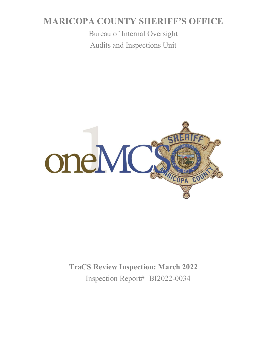# **MARICOPA COUNTY SHERIFF'S OFFICE**

Bureau of Internal Oversight Audits and Inspections Unit



**TraCS Review Inspection: March 2022** Inspection Report# BI2022-0034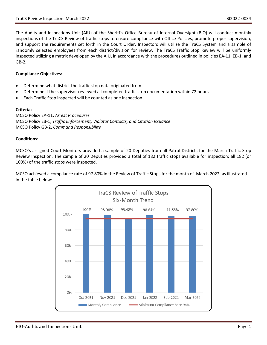The Audits and Inspections Unit (AIU) of the Sheriff's Office Bureau of Internal Oversight (BIO) will conduct monthly inspections of the TraCS Review of traffic stops to ensure compliance with Office Policies, promote proper supervision, and support the requirements set forth in the Court Order. Inspectors will utilize the TraCS System and a sample of randomly selected employees from each district/division for review. The TraCS Traffic Stop Review will be uniformly inspected utilizing a matrix developed by the AIU, in accordance with the procedures outlined in policies EA-11, EB-1, and GB-2.

#### **Compliance Objectives:**

- Determine what district the traffic stop data originated from
- Determine if the supervisor reviewed all completed traffic stop documentation within 72 hours
- Each Traffic Stop inspected will be counted as one inspection

#### **Criteria:**

MCSO Policy EA-11, *Arrest Procedures* MCSO Policy EB-1, *Traffic Enforcement, Violator Contacts, and Citation Issuance* MCSO Policy GB-2, *Command Responsibility*

#### **Conditions:**

MCSO's assigned Court Monitors provided a sample of 20 Deputies from all Patrol Districts for the March Traffic Stop Review Inspection. The sample of 20 Deputies provided a total of 182 traffic stops available for inspection; all 182 (or 100%) of the traffic stops were inspected.

MCSO achieved a compliance rate of 97.80% in the Review of Traffic Stops for the month of March 2022, as illustrated in the table below:

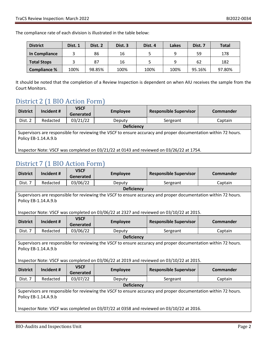The compliance rate of each division is illustrated in the table below:

| <b>District</b>     | Dist. 1 | Dist. 2 | Dist. 3 | Dist. 4 | Lakes | Dist. 7 | <b>Total</b> |
|---------------------|---------|---------|---------|---------|-------|---------|--------------|
| In Compliance       |         | 86      | 16      |         | q     | 59      | 178          |
| <b>Total Stops</b>  |         | 87      | 16      |         | q     | 62      | 182          |
| <b>Compliance %</b> | 100%    | 98.85%  | 100%    | 100%    | 100%  | 95.16%  | 97.80%       |

It should be noted that the completion of a Review Inspection is dependent on when AIU receives the sample from the Court Monitors.

<u> 1980 - Johann Barn, mars an t-Amerikaansk kommunister (</u>

## District 2 (1 BIO Action Form)

| <b>District</b>                                                                                                                         | Incident # | <b>VSCF</b><br>Generated | <b>Employee</b> | <b>Responsible Supervisor</b> | Commander |
|-----------------------------------------------------------------------------------------------------------------------------------------|------------|--------------------------|-----------------|-------------------------------|-----------|
| Dist. 2                                                                                                                                 | Redacted   | 03/21/22                 | Deputy          | Sergeant                      | Captain   |
| <b>Deficiency</b>                                                                                                                       |            |                          |                 |                               |           |
| Supervisors are responsible for reviewing the VSCF to ensure accuracy and proper documentation within 72 hours.<br>Policy EB-1.14.A.9.b |            |                          |                 |                               |           |
| Inspector Note: VSCF was completed on 03/21/22 at 0143 and reviewed on 03/26/22 at 1754.                                                |            |                          |                 |                               |           |

### District 7 (1 BIO Action Form)

| <b>District</b>                                                                                                 | Incident #           | <b>VSCF</b> | <b>Employee</b>                                                                                                 | <b>Responsible Supervisor</b> | Commander        |  |
|-----------------------------------------------------------------------------------------------------------------|----------------------|-------------|-----------------------------------------------------------------------------------------------------------------|-------------------------------|------------------|--|
|                                                                                                                 |                      | Generated   |                                                                                                                 |                               |                  |  |
| Dist. 7                                                                                                         | Redacted             | 03/06/22    | Deputy                                                                                                          | Sergeant                      | Captain          |  |
|                                                                                                                 |                      |             | <b>Deficiency</b>                                                                                               |                               |                  |  |
|                                                                                                                 |                      |             | Supervisors are responsible for reviewing the VSCF to ensure accuracy and proper documentation within 72 hours. |                               |                  |  |
|                                                                                                                 | Policy EB-1.14.A.9.b |             |                                                                                                                 |                               |                  |  |
|                                                                                                                 |                      |             |                                                                                                                 |                               |                  |  |
| Inspector Note: VSCF was completed on 03/06/22 at 2327 and reviewed on 03/10/22 at 2015.                        |                      |             |                                                                                                                 |                               |                  |  |
| <b>District</b>                                                                                                 | Incident #           | <b>VSCF</b> |                                                                                                                 |                               | Commander        |  |
|                                                                                                                 |                      | Generated   | <b>Employee</b>                                                                                                 | <b>Responsible Supervisor</b> |                  |  |
| Dist. 7                                                                                                         | Redacted             | 03/06/22    | Deputy                                                                                                          | Sergeant                      | Captain          |  |
| <b>Deficiency</b>                                                                                               |                      |             |                                                                                                                 |                               |                  |  |
| Supervisors are responsible for reviewing the VSCF to ensure accuracy and proper documentation within 72 hours. |                      |             |                                                                                                                 |                               |                  |  |
| Policy EB-1.14.A.9.b                                                                                            |                      |             |                                                                                                                 |                               |                  |  |
|                                                                                                                 |                      |             |                                                                                                                 |                               |                  |  |
| Inspector Note: VSCF was completed on 03/06/22 at 2019 and reviewed on 03/10/22 at 2015.                        |                      |             |                                                                                                                 |                               |                  |  |
| <b>District</b>                                                                                                 | Incident #           | <b>VSCF</b> | <b>Employee</b>                                                                                                 | <b>Responsible Supervisor</b> | <b>Commander</b> |  |
|                                                                                                                 |                      | Generated   |                                                                                                                 |                               |                  |  |
| Dist. 7                                                                                                         | Redacted             | 03/07/22    | Deputy                                                                                                          | Sergeant                      | Captain          |  |
| <b>Deficiency</b>                                                                                               |                      |             |                                                                                                                 |                               |                  |  |
| Supervisors are responsible for reviewing the VSCF to ensure accuracy and proper documentation within 72 hours. |                      |             |                                                                                                                 |                               |                  |  |
| Policy EB-1.14.A.9.b                                                                                            |                      |             |                                                                                                                 |                               |                  |  |
|                                                                                                                 |                      |             |                                                                                                                 |                               |                  |  |
| Inspector Note: VSCF was completed on 03/07/22 at 0358 and reviewed on 03/10/22 at 2016.                        |                      |             |                                                                                                                 |                               |                  |  |